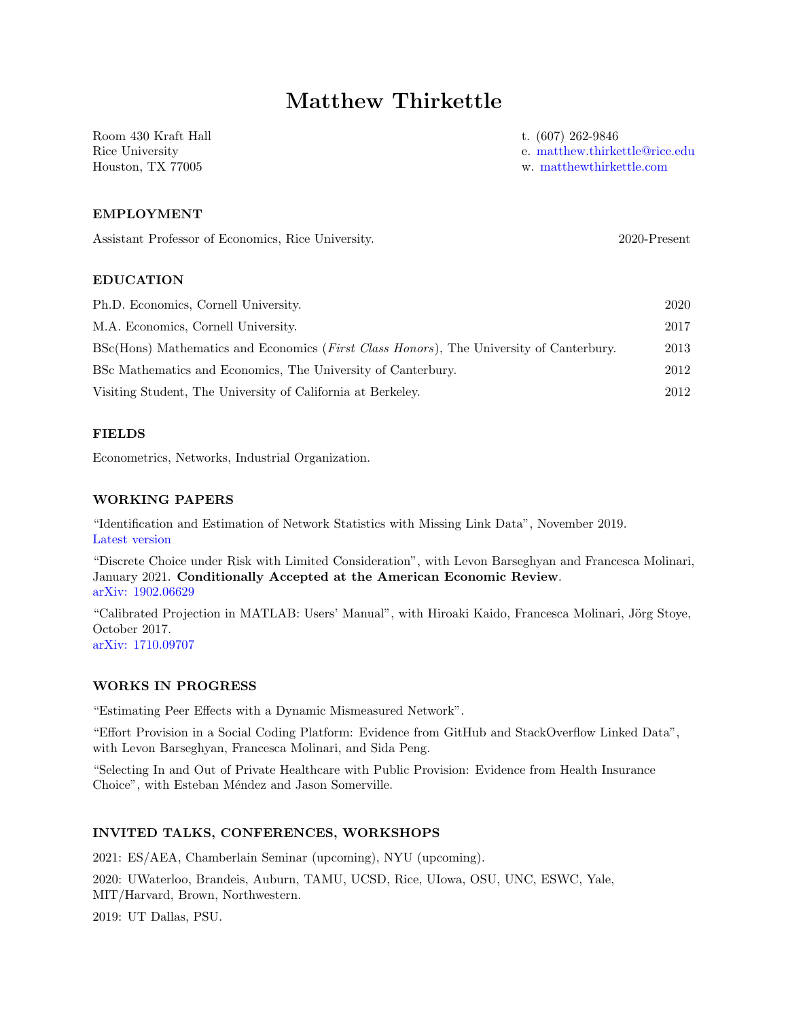# Matthew Thirkettle

Room 430 Kraft Hall Rice University Houston, TX 77005

t. (607) 262-9846

e. [matthew.thirkettle@rice.edu](mailto:matthew.thirkettle@rice.edu)

w. [matthewthirkettle.com](https://matthewthirkettle.com)

## EMPLOYMENT

Assistant Professor of Economics, Rice University. 2020-Present

## EDUCATION

| Ph.D. Economics, Cornell University.                                                             | 2020 |
|--------------------------------------------------------------------------------------------------|------|
| M.A. Economics, Cornell University.                                                              | 2017 |
| BSc(Hons) Mathematics and Economics ( <i>First Class Honors</i> ), The University of Canterbury. | 2013 |
| BSc Mathematics and Economics, The University of Canterbury.                                     | 2012 |
| Visiting Student, The University of California at Berkeley.                                      | 2012 |

## FIELDS

Econometrics, Networks, Industrial Organization.

#### WORKING PAPERS

"Identification and Estimation of Network Statistics with Missing Link Data", November 2019. [Latest version](https://matthewthirkettle.github.io/files/Thirkettle_Job_Market_Paper.pdf)

"Discrete Choice under Risk with Limited Consideration", with Levon Barseghyan and Francesca Molinari, January 2021. Conditionally Accepted at the American Economic Review. [arXiv: 1902.06629](https://arxiv.org/abs/1902.06629)

"Calibrated Projection in MATLAB: Users' Manual", with Hiroaki Kaido, Francesca Molinari, Jörg Stoye, October 2017. [arXiv: 1710.09707](https://arxiv.org/abs/1710.09707)

## WORKS IN PROGRESS

"Estimating Peer Effects with a Dynamic Mismeasured Network".

"Effort Provision in a Social Coding Platform: Evidence from GitHub and StackOverflow Linked Data", with Levon Barseghyan, Francesca Molinari, and Sida Peng.

"Selecting In and Out of Private Healthcare with Public Provision: Evidence from Health Insurance Choice", with Esteban Méndez and Jason Somerville.

## INVITED TALKS, CONFERENCES, WORKSHOPS

2021: ES/AEA, Chamberlain Seminar (upcoming), NYU (upcoming).

2020: UWaterloo, Brandeis, Auburn, TAMU, UCSD, Rice, UIowa, OSU, UNC, ESWC, Yale, MIT/Harvard, Brown, Northwestern.

2019: UT Dallas, PSU.